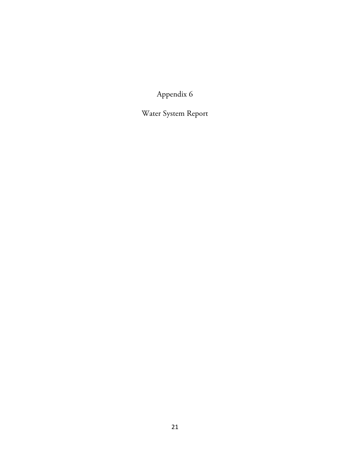Appendix 6

Water System Report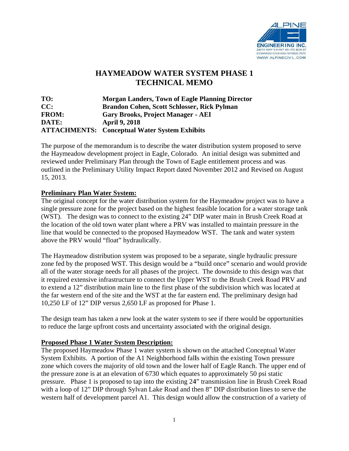

## **H HAYMEA ADOW WA ATER SY YSTEM PH HASE 1 TECHN NICAL ME EMO**

**TO: CC: FROM: DATE: ATTACHMENTS:** Conceptual Water System Exhibits **Morgan Landers, Town of Eagle Planning Director Brandon Cohen, Scott Schlosser, Rick Pylman** Gary Brooks, Project Manager - AEI **April 9, 20 018** 

The purpose of the memorandum is to describe the water distribution system proposed to serve the Haymeadow development project in Eagle, Colorado. An initial design was submitted and reviewed under Preliminary Plan through the Town of Eagle entitlement process and was outlined in the Preliminary Utility Impact Report dated November 2012 and Revised on August 15, 2013 .

## **Preliminary Plan Water System:**

The original concept for the water distribution system for the Haymeadow project was to have a single pressure zone for the project based on the highest feasible location for a water storage tank (WST). The design was to connect to the existing 24" DIP water main in Brush Creek Road at the location of the old town water plant where a PRV was installed to maintain pressure in the line that would be connected to the proposed Haymeadow WST. The tank and water system above the PRV would "float" hydraulically. line that would be connected to the proposed Haymeadow WST. The tank and water system<br>above the PRV would "float" hydraulically.<br>The Haymeadow distribution system was proposed to be a separate, single hydraulic pressure

zone fed by the proposed WST. This design would be a "build once" scenario and would provide all of the water storage needs for all phases of the project. The downside to this design was that it required extensive infrastructure to connect the Upper WST to the Brush Creek Road PRV and to extend a 12" distribution main line to the first phase of the subdivision which was located at the far western end of the site and the WST at the far eastern end. The preliminary design had 10,250 LF of 12" DIP versus 2,650 LF as proposed for Phase 1.

The design team has taken a new look at the water system to see if there would be opportunities to reduce the large upfront costs and uncertainty associated with the original design.

## **Proposed Phase 1 Water System Description:**

The proposed Haymeadow Phase 1 water system is shown on the attached Conceptual Water System Exhibits. A portion of the A1 Neighborhood falls within the existing Town pressure System Exhibits. A portion of the A1 Neighborhood falls within the existing Town pressure<br>zone which covers the majority of old town and the lower half of Eagle Ranch. The upper end of the pressure zone is at an elevation of 6730 which equates to approximately 50 psi static pressure. Phase 1 is proposed to tap into the existing 24" transmission line in Brush Creek Road with a loop of 12" DIP through Sylvan Lake Road and then 8" DIP distribution lines to serve the western half of development parcel A1. This design would allow the construction of a variety of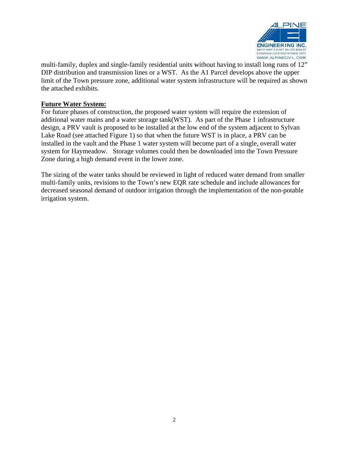

multi-family, duplex and single-family residential units without having to install long runs of 12" DIP distribution and transmission lines or a WST. As the A1 Parcel develops above the upper limit of the Town pressure zone, additional water system infrastructure will be required as shown the attached exhibits.

## **Future W Water Syste em:**

For future phases of construction, the proposed water system will require the extension of additional water mains and a water storage tank(WST). As part of the Phase 1 infrastructure additional water mains and a water storage tank(WST). As part of the Phase 1 infrastructure<br>design, a PRV vault is proposed to be installed at the low end of the system adjacent to Sylvan Lake Road (see attached Figure 1) so that when the future WST is in place, a PRV can be installed in the vault and the Phase 1 water system will become part of a single, overall water system for Haymeadow. Storage volumes could then be downloaded into the Town Pressure Zone during a high demand event in the lower zone.

The sizing of the water tanks should be reviewed in light of reduced water demand from smaller multi-family units, revisions to the Town's new EQR rate schedule and include allowances for decreased seasonal demand of outdoor irrigation through the implementation of the non-potable irrigation system.